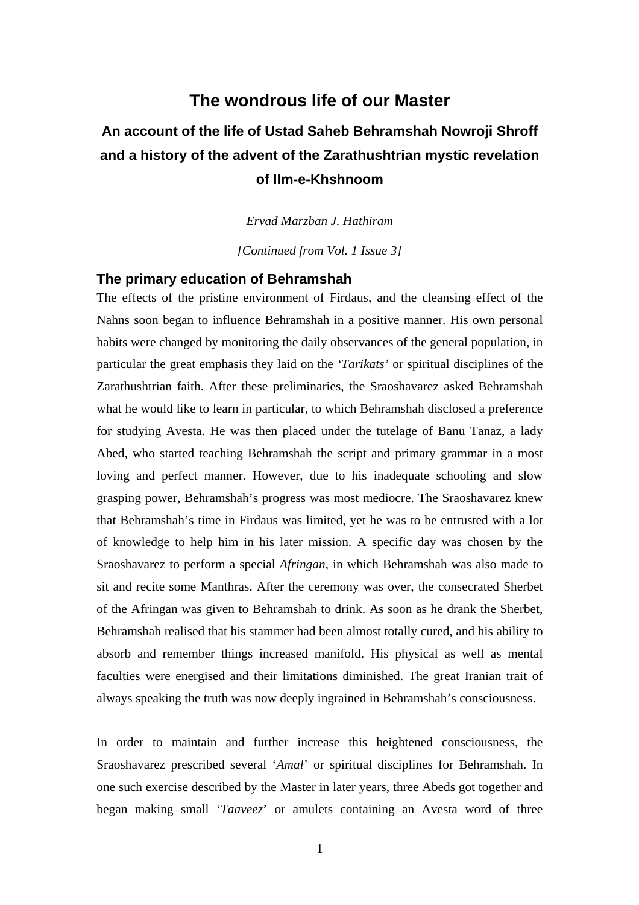# **The wondrous life of our Master**

# **An account of the life of Ustad Saheb Behramshah Nowroji Shroff and a history of the advent of the Zarathushtrian mystic revelation of Ilm-e-Khshnoom**

*Ervad Marzban J. Hathiram*

*[Continued from Vol. 1 Issue 3]*

# **The primary education of Behramshah**

The effects of the pristine environment of Firdaus, and the cleansing effect of the Nahns soon began to influence Behramshah in a positive manner. His own personal habits were changed by monitoring the daily observances of the general population, in particular the great emphasis they laid on the *'Tarikats'* or spiritual disciplines of the Zarathushtrian faith. After these preliminaries, the Sraoshavarez asked Behramshah what he would like to learn in particular, to which Behramshah disclosed a preference for studying Avesta. He was then placed under the tutelage of Banu Tanaz, a lady Abed, who started teaching Behramshah the script and primary grammar in a most loving and perfect manner. However, due to his inadequate schooling and slow grasping power, Behramshah's progress was most mediocre. The Sraoshavarez knew that Behramshah's time in Firdaus was limited, yet he was to be entrusted with a lot of knowledge to help him in his later mission. A specific day was chosen by the Sraoshavarez to perform a special *Afringan*, in which Behramshah was also made to sit and recite some Manthras. After the ceremony was over, the consecrated Sherbet of the Afringan was given to Behramshah to drink. As soon as he drank the Sherbet, Behramshah realised that his stammer had been almost totally cured, and his ability to absorb and remember things increased manifold. His physical as well as mental faculties were energised and their limitations diminished. The great Iranian trait of always speaking the truth was now deeply ingrained in Behramshah's consciousness.

In order to maintain and further increase this heightened consciousness, the Sraoshavarez prescribed several '*Amal*' or spiritual disciplines for Behramshah. In one such exercise described by the Master in later years, three Abeds got together and began making small '*Taaveez*' or amulets containing an Avesta word of three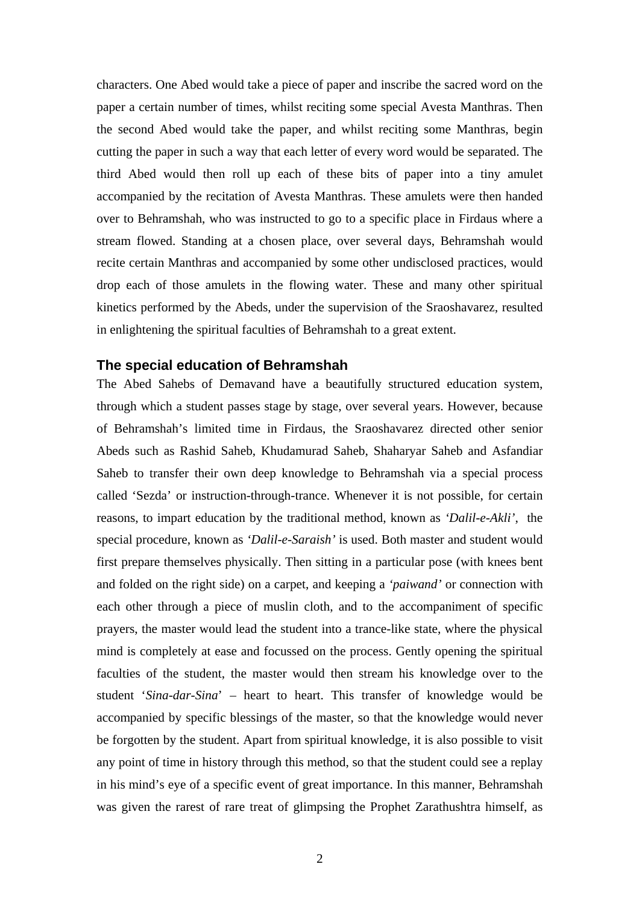characters. One Abed would take a piece of paper and inscribe the sacred word on the paper a certain number of times, whilst reciting some special Avesta Manthras. Then the second Abed would take the paper, and whilst reciting some Manthras, begin cutting the paper in such a way that each letter of every word would be separated. The third Abed would then roll up each of these bits of paper into a tiny amulet accompanied by the recitation of Avesta Manthras. These amulets were then handed over to Behramshah, who was instructed to go to a specific place in Firdaus where a stream flowed. Standing at a chosen place, over several days, Behramshah would recite certain Manthras and accompanied by some other undisclosed practices, would drop each of those amulets in the flowing water. These and many other spiritual kinetics performed by the Abeds, under the supervision of the Sraoshavarez, resulted in enlightening the spiritual faculties of Behramshah to a great extent.

#### **The special education of Behramshah**

The Abed Sahebs of Demavand have a beautifully structured education system, through which a student passes stage by stage, over several years. However, because of Behramshah's limited time in Firdaus, the Sraoshavarez directed other senior Abeds such as Rashid Saheb, Khudamurad Saheb, Shaharyar Saheb and Asfandiar Saheb to transfer their own deep knowledge to Behramshah via a special process called 'Sezda' or instruction-through-trance. Whenever it is not possible, for certain reasons, to impart education by the traditional method, known as *'Dalil-e-Akli'*, the special procedure, known as *'Dalil-e-Saraish'* is used. Both master and student would first prepare themselves physically. Then sitting in a particular pose (with knees bent and folded on the right side) on a carpet, and keeping a *'paiwand'* or connection with each other through a piece of muslin cloth, and to the accompaniment of specific prayers, the master would lead the student into a trance-like state, where the physical mind is completely at ease and focussed on the process. Gently opening the spiritual faculties of the student, the master would then stream his knowledge over to the student '*Sina-dar-Sina*' – heart to heart. This transfer of knowledge would be accompanied by specific blessings of the master, so that the knowledge would never be forgotten by the student. Apart from spiritual knowledge, it is also possible to visit any point of time in history through this method, so that the student could see a replay in his mind's eye of a specific event of great importance. In this manner, Behramshah was given the rarest of rare treat of glimpsing the Prophet Zarathushtra himself, as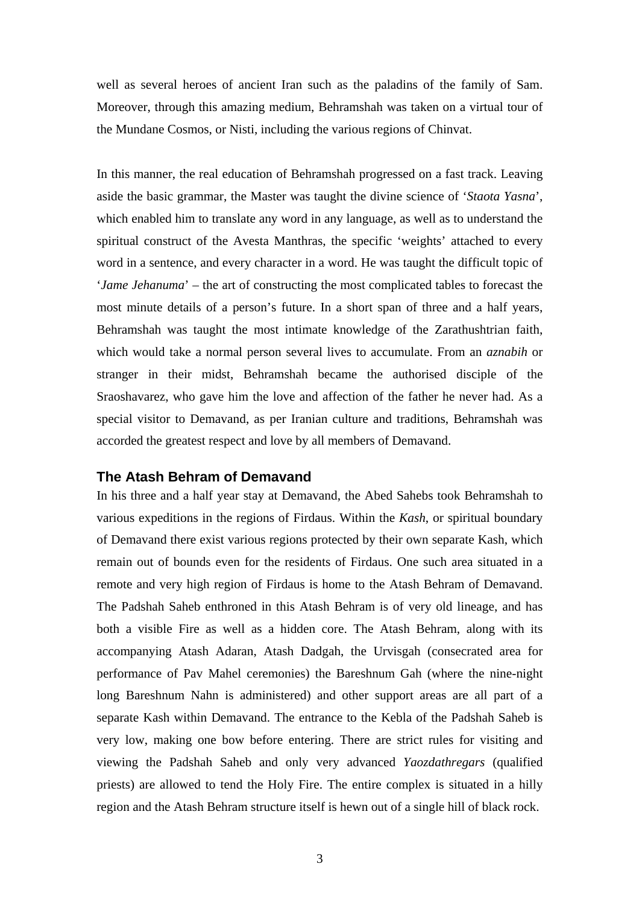well as several heroes of ancient Iran such as the paladins of the family of Sam. Moreover, through this amazing medium, Behramshah was taken on a virtual tour of the Mundane Cosmos, or Nisti, including the various regions of Chinvat.

In this manner, the real education of Behramshah progressed on a fast track. Leaving aside the basic grammar, the Master was taught the divine science of '*Staota Yasna*', which enabled him to translate any word in any language, as well as to understand the spiritual construct of the Avesta Manthras, the specific 'weights' attached to every word in a sentence, and every character in a word. He was taught the difficult topic of '*Jame Jehanuma*' – the art of constructing the most complicated tables to forecast the most minute details of a person's future. In a short span of three and a half years, Behramshah was taught the most intimate knowledge of the Zarathushtrian faith, which would take a normal person several lives to accumulate. From an *aznabih* or stranger in their midst, Behramshah became the authorised disciple of the Sraoshavarez, who gave him the love and affection of the father he never had. As a special visitor to Demavand, as per Iranian culture and traditions, Behramshah was accorded the greatest respect and love by all members of Demavand.

# **The Atash Behram of Demavand**

In his three and a half year stay at Demavand, the Abed Sahebs took Behramshah to various expeditions in the regions of Firdaus. Within the *Kash*, or spiritual boundary of Demavand there exist various regions protected by their own separate Kash, which remain out of bounds even for the residents of Firdaus. One such area situated in a remote and very high region of Firdaus is home to the Atash Behram of Demavand. The Padshah Saheb enthroned in this Atash Behram is of very old lineage, and has both a visible Fire as well as a hidden core. The Atash Behram, along with its accompanying Atash Adaran, Atash Dadgah, the Urvisgah (consecrated area for performance of Pav Mahel ceremonies) the Bareshnum Gah (where the nine-night long Bareshnum Nahn is administered) and other support areas are all part of a separate Kash within Demavand. The entrance to the Kebla of the Padshah Saheb is very low, making one bow before entering. There are strict rules for visiting and viewing the Padshah Saheb and only very advanced *Yaozdathregars* (qualified priests) are allowed to tend the Holy Fire. The entire complex is situated in a hilly region and the Atash Behram structure itself is hewn out of a single hill of black rock.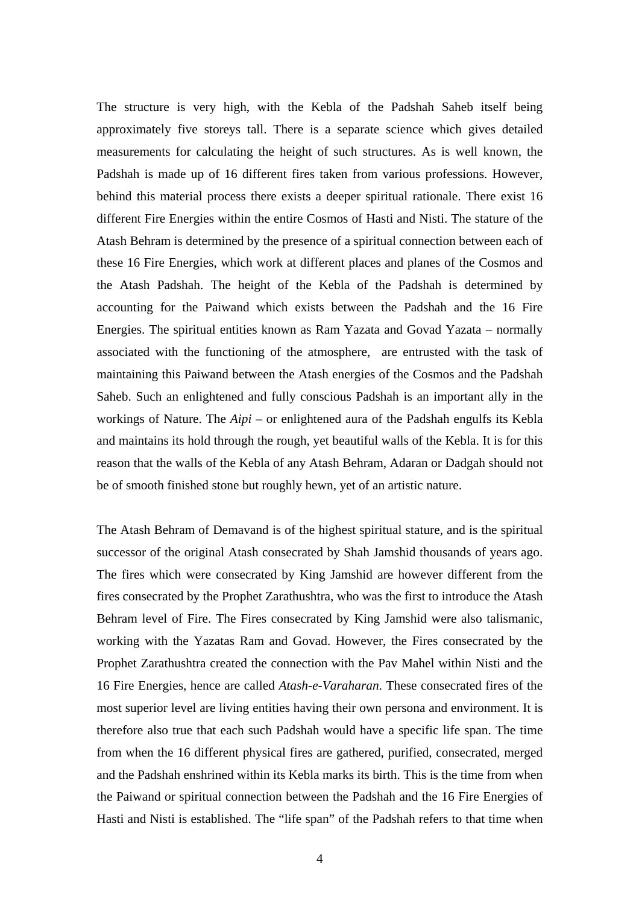The structure is very high, with the Kebla of the Padshah Saheb itself being approximately five storeys tall. There is a separate science which gives detailed measurements for calculating the height of such structures. As is well known, the Padshah is made up of 16 different fires taken from various professions. However, behind this material process there exists a deeper spiritual rationale. There exist 16 different Fire Energies within the entire Cosmos of Hasti and Nisti. The stature of the Atash Behram is determined by the presence of a spiritual connection between each of these 16 Fire Energies, which work at different places and planes of the Cosmos and the Atash Padshah. The height of the Kebla of the Padshah is determined by accounting for the Paiwand which exists between the Padshah and the 16 Fire Energies. The spiritual entities known as Ram Yazata and Govad Yazata – normally associated with the functioning of the atmosphere, are entrusted with the task of maintaining this Paiwand between the Atash energies of the Cosmos and the Padshah Saheb. Such an enlightened and fully conscious Padshah is an important ally in the workings of Nature. The *Aipi* – or enlightened aura of the Padshah engulfs its Kebla and maintains its hold through the rough, yet beautiful walls of the Kebla. It is for this reason that the walls of the Kebla of any Atash Behram, Adaran or Dadgah should not be of smooth finished stone but roughly hewn, yet of an artistic nature.

The Atash Behram of Demavand is of the highest spiritual stature, and is the spiritual successor of the original Atash consecrated by Shah Jamshid thousands of years ago. The fires which were consecrated by King Jamshid are however different from the fires consecrated by the Prophet Zarathushtra, who was the first to introduce the Atash Behram level of Fire. The Fires consecrated by King Jamshid were also talismanic, working with the Yazatas Ram and Govad. However, the Fires consecrated by the Prophet Zarathushtra created the connection with the Pav Mahel within Nisti and the 16 Fire Energies, hence are called *Atash-e-Varaharan*. These consecrated fires of the most superior level are living entities having their own persona and environment. It is therefore also true that each such Padshah would have a specific life span. The time from when the 16 different physical fires are gathered, purified, consecrated, merged and the Padshah enshrined within its Kebla marks its birth. This is the time from when the Paiwand or spiritual connection between the Padshah and the 16 Fire Energies of Hasti and Nisti is established. The "life span" of the Padshah refers to that time when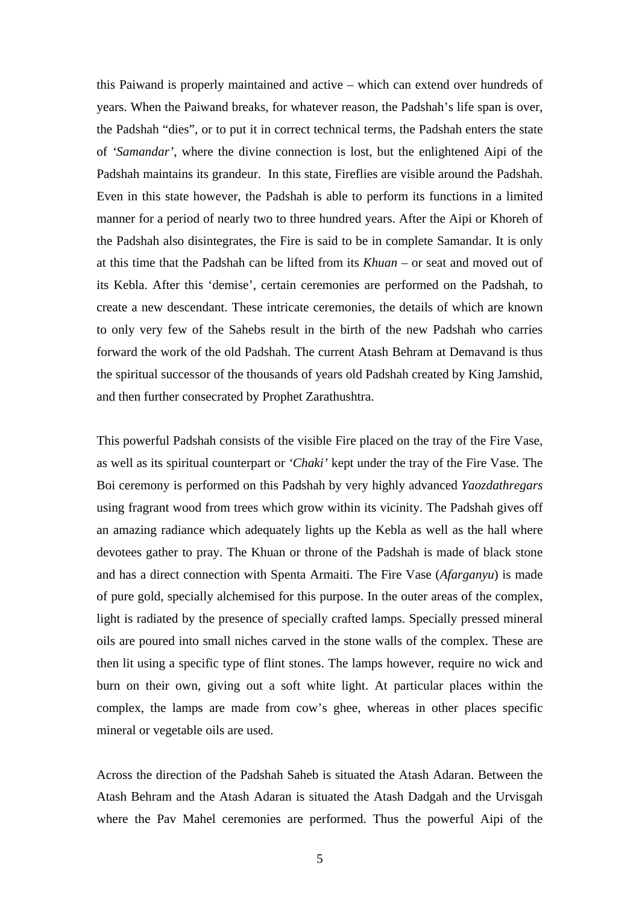this Paiwand is properly maintained and active – which can extend over hundreds of years. When the Paiwand breaks, for whatever reason, the Padshah's life span is over, the Padshah "dies", or to put it in correct technical terms, the Padshah enters the state of *'Samandar'*, where the divine connection is lost, but the enlightened Aipi of the Padshah maintains its grandeur. In this state, Fireflies are visible around the Padshah. Even in this state however, the Padshah is able to perform its functions in a limited manner for a period of nearly two to three hundred years. After the Aipi or Khoreh of the Padshah also disintegrates, the Fire is said to be in complete Samandar. It is only at this time that the Padshah can be lifted from its *Khuan* – or seat and moved out of its Kebla. After this 'demise', certain ceremonies are performed on the Padshah, to create a new descendant. These intricate ceremonies, the details of which are known to only very few of the Sahebs result in the birth of the new Padshah who carries forward the work of the old Padshah. The current Atash Behram at Demavand is thus the spiritual successor of the thousands of years old Padshah created by King Jamshid, and then further consecrated by Prophet Zarathushtra.

This powerful Padshah consists of the visible Fire placed on the tray of the Fire Vase, as well as its spiritual counterpart or *'Chaki'* kept under the tray of the Fire Vase. The Boi ceremony is performed on this Padshah by very highly advanced *Yaozdathregars* using fragrant wood from trees which grow within its vicinity. The Padshah gives off an amazing radiance which adequately lights up the Kebla as well as the hall where devotees gather to pray. The Khuan or throne of the Padshah is made of black stone and has a direct connection with Spenta Armaiti. The Fire Vase (*Afarganyu*) is made of pure gold, specially alchemised for this purpose. In the outer areas of the complex, light is radiated by the presence of specially crafted lamps. Specially pressed mineral oils are poured into small niches carved in the stone walls of the complex. These are then lit using a specific type of flint stones. The lamps however, require no wick and burn on their own, giving out a soft white light. At particular places within the complex, the lamps are made from cow's ghee, whereas in other places specific mineral or vegetable oils are used.

Across the direction of the Padshah Saheb is situated the Atash Adaran. Between the Atash Behram and the Atash Adaran is situated the Atash Dadgah and the Urvisgah where the Pav Mahel ceremonies are performed. Thus the powerful Aipi of the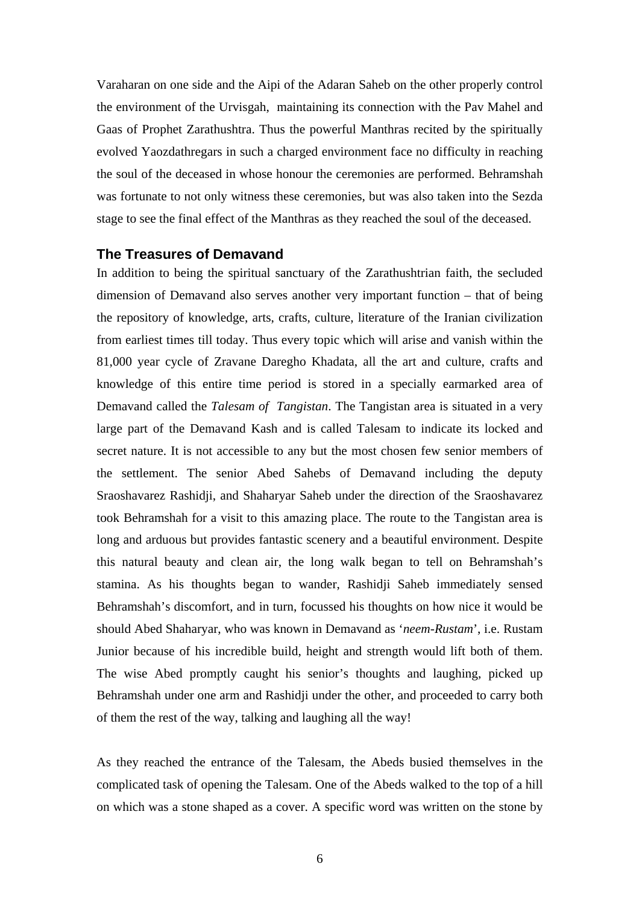Varaharan on one side and the Aipi of the Adaran Saheb on the other properly control the environment of the Urvisgah, maintaining its connection with the Pav Mahel and Gaas of Prophet Zarathushtra. Thus the powerful Manthras recited by the spiritually evolved Yaozdathregars in such a charged environment face no difficulty in reaching the soul of the deceased in whose honour the ceremonies are performed. Behramshah was fortunate to not only witness these ceremonies, but was also taken into the Sezda stage to see the final effect of the Manthras as they reached the soul of the deceased.

# **The Treasures of Demavand**

In addition to being the spiritual sanctuary of the Zarathushtrian faith, the secluded dimension of Demavand also serves another very important function – that of being the repository of knowledge, arts, crafts, culture, literature of the Iranian civilization from earliest times till today. Thus every topic which will arise and vanish within the 81,000 year cycle of Zravane Daregho Khadata, all the art and culture, crafts and knowledge of this entire time period is stored in a specially earmarked area of Demavand called the *Talesam of Tangistan*. The Tangistan area is situated in a very large part of the Demavand Kash and is called Talesam to indicate its locked and secret nature. It is not accessible to any but the most chosen few senior members of the settlement. The senior Abed Sahebs of Demavand including the deputy Sraoshavarez Rashidji, and Shaharyar Saheb under the direction of the Sraoshavarez took Behramshah for a visit to this amazing place. The route to the Tangistan area is long and arduous but provides fantastic scenery and a beautiful environment. Despite this natural beauty and clean air, the long walk began to tell on Behramshah's stamina. As his thoughts began to wander, Rashidji Saheb immediately sensed Behramshah's discomfort, and in turn, focussed his thoughts on how nice it would be should Abed Shaharyar, who was known in Demavand as '*neem-Rustam*', i.e. Rustam Junior because of his incredible build, height and strength would lift both of them. The wise Abed promptly caught his senior's thoughts and laughing, picked up Behramshah under one arm and Rashidji under the other, and proceeded to carry both of them the rest of the way, talking and laughing all the way!

As they reached the entrance of the Talesam, the Abeds busied themselves in the complicated task of opening the Talesam. One of the Abeds walked to the top of a hill on which was a stone shaped as a cover. A specific word was written on the stone by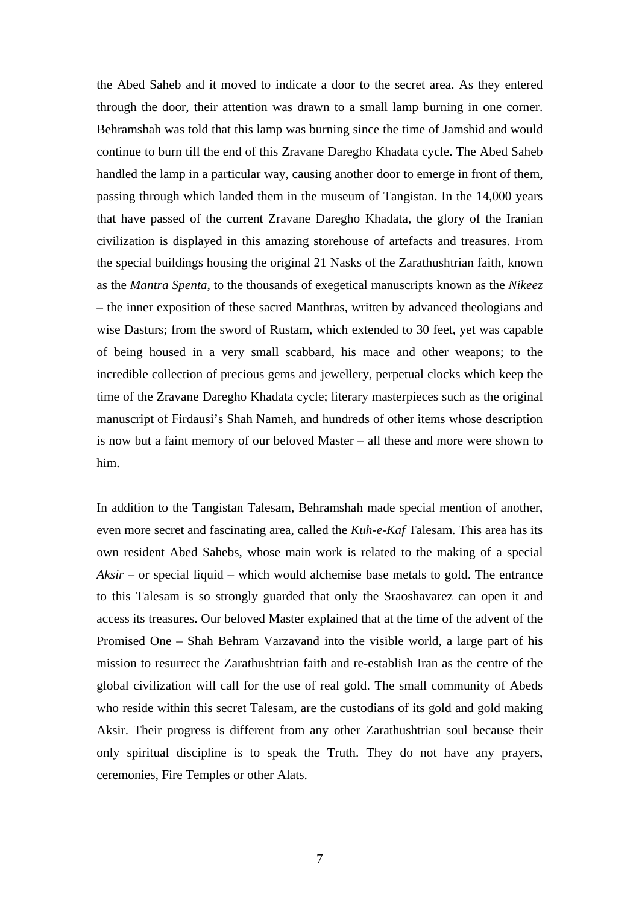the Abed Saheb and it moved to indicate a door to the secret area. As they entered through the door, their attention was drawn to a small lamp burning in one corner. Behramshah was told that this lamp was burning since the time of Jamshid and would continue to burn till the end of this Zravane Daregho Khadata cycle. The Abed Saheb handled the lamp in a particular way, causing another door to emerge in front of them, passing through which landed them in the museum of Tangistan. In the 14,000 years that have passed of the current Zravane Daregho Khadata, the glory of the Iranian civilization is displayed in this amazing storehouse of artefacts and treasures. From the special buildings housing the original 21 Nasks of the Zarathushtrian faith, known as the *Mantra Spenta*, to the thousands of exegetical manuscripts known as the *Nikeez* – the inner exposition of these sacred Manthras, written by advanced theologians and wise Dasturs; from the sword of Rustam, which extended to 30 feet, yet was capable of being housed in a very small scabbard, his mace and other weapons; to the incredible collection of precious gems and jewellery, perpetual clocks which keep the time of the Zravane Daregho Khadata cycle; literary masterpieces such as the original manuscript of Firdausi's Shah Nameh, and hundreds of other items whose description is now but a faint memory of our beloved Master – all these and more were shown to him.

In addition to the Tangistan Talesam, Behramshah made special mention of another, even more secret and fascinating area, called the *Kuh-e-Kaf* Talesam. This area has its own resident Abed Sahebs, whose main work is related to the making of a special *Aksir* – or special liquid – which would alchemise base metals to gold. The entrance to this Talesam is so strongly guarded that only the Sraoshavarez can open it and access its treasures. Our beloved Master explained that at the time of the advent of the Promised One – Shah Behram Varzavand into the visible world, a large part of his mission to resurrect the Zarathushtrian faith and re-establish Iran as the centre of the global civilization will call for the use of real gold. The small community of Abeds who reside within this secret Talesam, are the custodians of its gold and gold making Aksir. Their progress is different from any other Zarathushtrian soul because their only spiritual discipline is to speak the Truth. They do not have any prayers, ceremonies, Fire Temples or other Alats.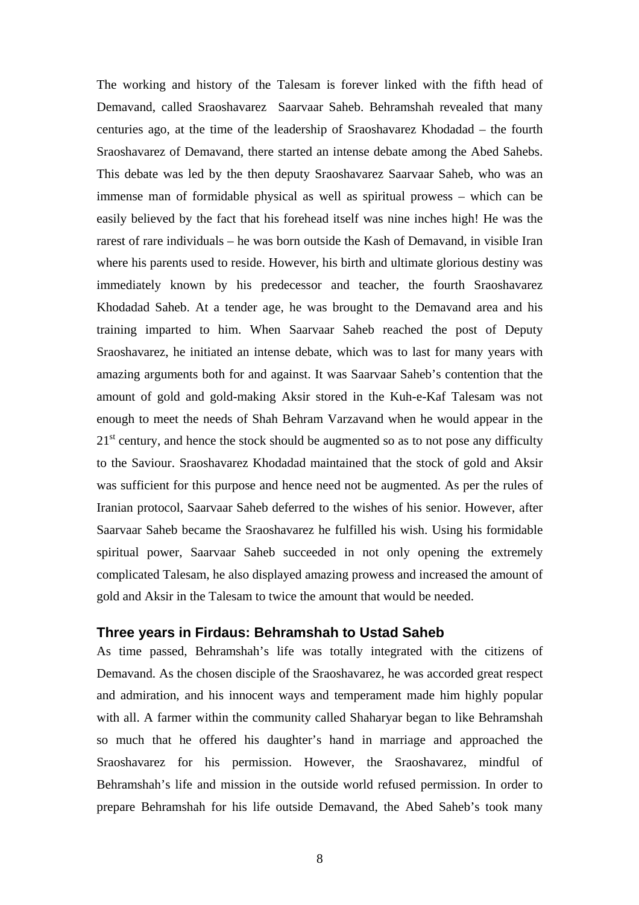The working and history of the Talesam is forever linked with the fifth head of Demavand, called Sraoshavarez Saarvaar Saheb. Behramshah revealed that many centuries ago, at the time of the leadership of Sraoshavarez Khodadad – the fourth Sraoshavarez of Demavand, there started an intense debate among the Abed Sahebs. This debate was led by the then deputy Sraoshavarez Saarvaar Saheb, who was an immense man of formidable physical as well as spiritual prowess – which can be easily believed by the fact that his forehead itself was nine inches high! He was the rarest of rare individuals – he was born outside the Kash of Demavand, in visible Iran where his parents used to reside. However, his birth and ultimate glorious destiny was immediately known by his predecessor and teacher, the fourth Sraoshavarez Khodadad Saheb. At a tender age, he was brought to the Demavand area and his training imparted to him. When Saarvaar Saheb reached the post of Deputy Sraoshavarez, he initiated an intense debate, which was to last for many years with amazing arguments both for and against. It was Saarvaar Saheb's contention that the amount of gold and gold-making Aksir stored in the Kuh-e-Kaf Talesam was not enough to meet the needs of Shah Behram Varzavand when he would appear in the  $21<sup>st</sup>$  century, and hence the stock should be augmented so as to not pose any difficulty to the Saviour. Sraoshavarez Khodadad maintained that the stock of gold and Aksir was sufficient for this purpose and hence need not be augmented. As per the rules of Iranian protocol, Saarvaar Saheb deferred to the wishes of his senior. However, after Saarvaar Saheb became the Sraoshavarez he fulfilled his wish. Using his formidable spiritual power, Saarvaar Saheb succeeded in not only opening the extremely complicated Talesam, he also displayed amazing prowess and increased the amount of gold and Aksir in the Talesam to twice the amount that would be needed.

# **Three years in Firdaus: Behramshah to Ustad Saheb**

As time passed, Behramshah's life was totally integrated with the citizens of Demavand. As the chosen disciple of the Sraoshavarez, he was accorded great respect and admiration, and his innocent ways and temperament made him highly popular with all. A farmer within the community called Shaharyar began to like Behramshah so much that he offered his daughter's hand in marriage and approached the Sraoshavarez for his permission. However, the Sraoshavarez, mindful of Behramshah's life and mission in the outside world refused permission. In order to prepare Behramshah for his life outside Demavand, the Abed Saheb's took many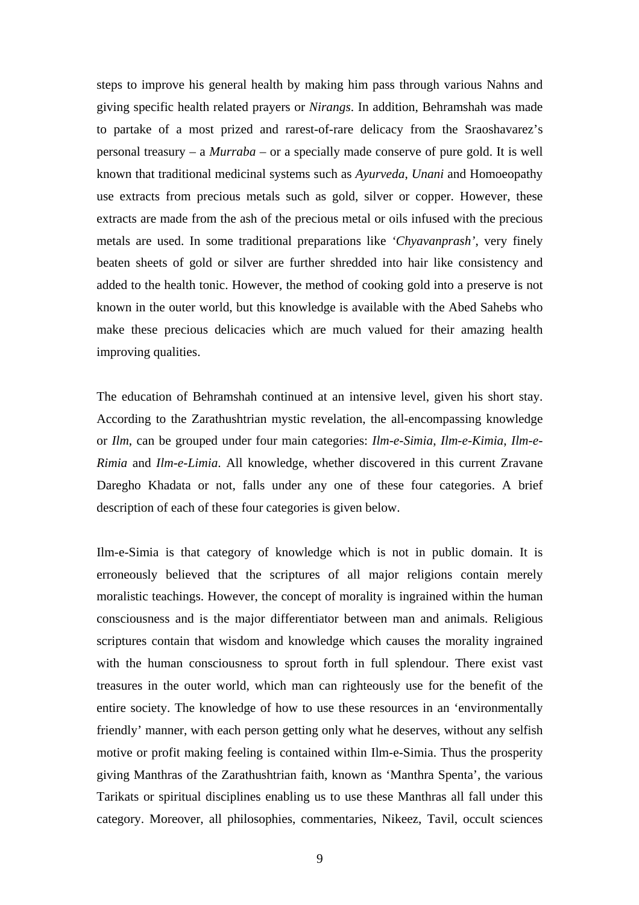steps to improve his general health by making him pass through various Nahns and giving specific health related prayers or *Nirangs*. In addition, Behramshah was made to partake of a most prized and rarest-of-rare delicacy from the Sraoshavarez's personal treasury – a *Murraba* – or a specially made conserve of pure gold. It is well known that traditional medicinal systems such as *Ayurveda*, *Unani* and Homoeopathy use extracts from precious metals such as gold, silver or copper. However, these extracts are made from the ash of the precious metal or oils infused with the precious metals are used. In some traditional preparations like *'Chyavanprash'*, very finely beaten sheets of gold or silver are further shredded into hair like consistency and added to the health tonic. However, the method of cooking gold into a preserve is not known in the outer world, but this knowledge is available with the Abed Sahebs who make these precious delicacies which are much valued for their amazing health improving qualities.

The education of Behramshah continued at an intensive level, given his short stay. According to the Zarathushtrian mystic revelation, the all-encompassing knowledge or *Ilm*, can be grouped under four main categories: *Ilm-e-Simia*, *Ilm-e-Kimia*, *Ilm-e-Rimia* and *Ilm-e-Limia*. All knowledge, whether discovered in this current Zravane Daregho Khadata or not, falls under any one of these four categories. A brief description of each of these four categories is given below.

Ilm-e-Simia is that category of knowledge which is not in public domain. It is erroneously believed that the scriptures of all major religions contain merely moralistic teachings. However, the concept of morality is ingrained within the human consciousness and is the major differentiator between man and animals. Religious scriptures contain that wisdom and knowledge which causes the morality ingrained with the human consciousness to sprout forth in full splendour. There exist vast treasures in the outer world, which man can righteously use for the benefit of the entire society. The knowledge of how to use these resources in an 'environmentally friendly' manner, with each person getting only what he deserves, without any selfish motive or profit making feeling is contained within Ilm-e-Simia. Thus the prosperity giving Manthras of the Zarathushtrian faith, known as 'Manthra Spenta', the various Tarikats or spiritual disciplines enabling us to use these Manthras all fall under this category. Moreover, all philosophies, commentaries, Nikeez, Tavil, occult sciences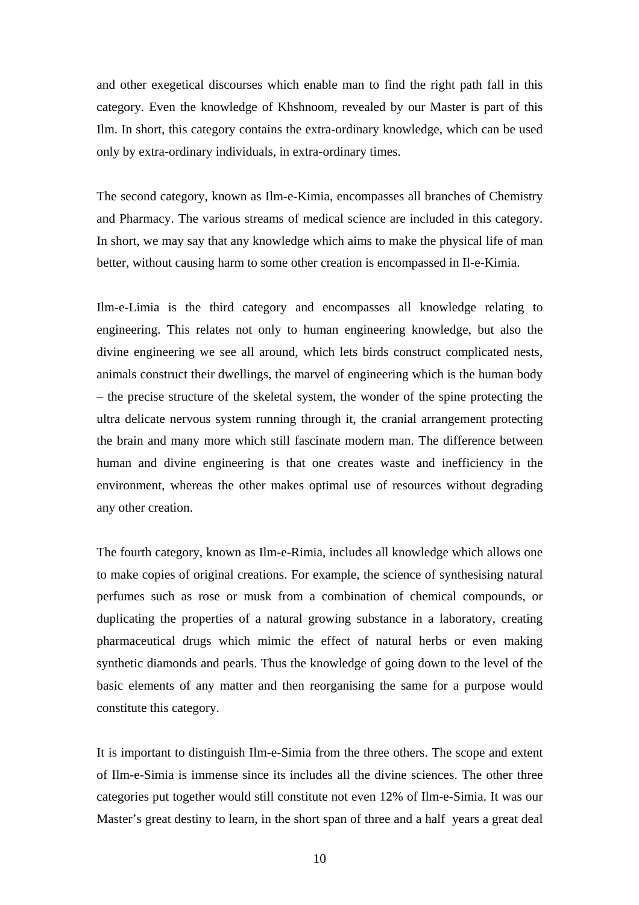and other exegetical discourses which enable man to find the right path fall in this category. Even the knowledge of Khshnoom, revealed by our Master is part of this Ilm. In short, this category contains the extra-ordinary knowledge, which can be used only by extra-ordinary individuals, in extra-ordinary times.

The second category, known as Ilm-e-Kimia, encompasses all branches of Chemistry and Pharmacy. The various streams of medical science are included in this category. In short, we may say that any knowledge which aims to make the physical life of man better, without causing harm to some other creation is encompassed in Il-e-Kimia.

Ilm-e-Limia is the third category and encompasses all knowledge relating to engineering. This relates not only to human engineering knowledge, but also the divine engineering we see all around, which lets birds construct complicated nests, animals construct their dwellings, the marvel of engineering which is the human body – the precise structure of the skeletal system, the wonder of the spine protecting the ultra delicate nervous system running through it, the cranial arrangement protecting the brain and many more which still fascinate modern man. The difference between human and divine engineering is that one creates waste and inefficiency in the environment, whereas the other makes optimal use of resources without degrading any other creation.

The fourth category, known as Ilm-e-Rimia, includes all knowledge which allows one to make copies of original creations. For example, the science of synthesising natural perfumes such as rose or musk from a combination of chemical compounds, or duplicating the properties of a natural growing substance in a laboratory, creating pharmaceutical drugs which mimic the effect of natural herbs or even making synthetic diamonds and pearls. Thus the knowledge of going down to the level of the basic elements of any matter and then reorganising the same for a purpose would constitute this category.

It is important to distinguish Ilm-e-Simia from the three others. The scope and extent of Ilm-e-Simia is immense since its includes all the divine sciences. The other three categories put together would still constitute not even 12% of Ilm-e-Simia. It was our Master's great destiny to learn, in the short span of three and a half years a great deal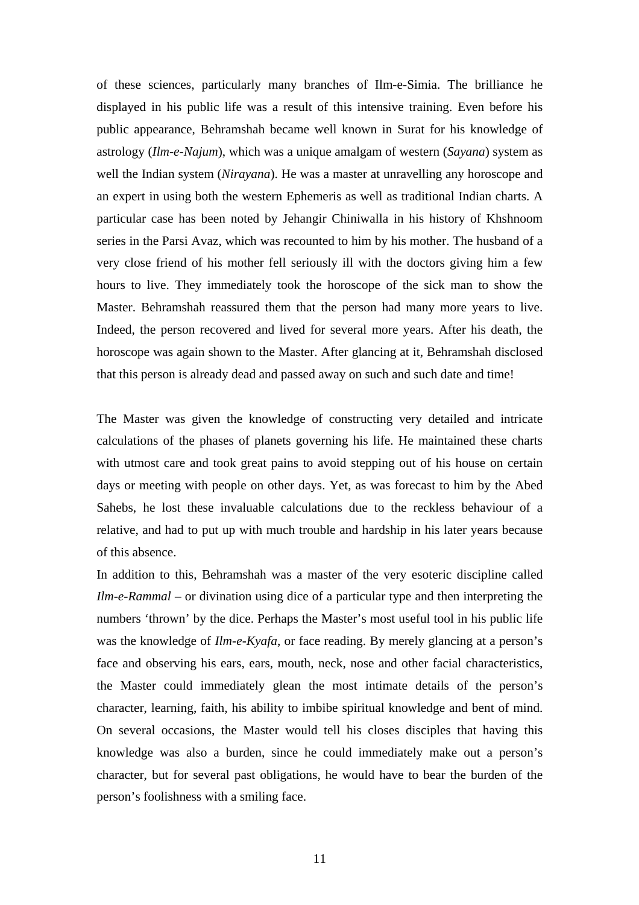of these sciences, particularly many branches of Ilm-e-Simia. The brilliance he displayed in his public life was a result of this intensive training. Even before his public appearance, Behramshah became well known in Surat for his knowledge of astrology (*Ilm-e-Najum*), which was a unique amalgam of western (*Sayana*) system as well the Indian system (*Nirayana*). He was a master at unravelling any horoscope and an expert in using both the western Ephemeris as well as traditional Indian charts. A particular case has been noted by Jehangir Chiniwalla in his history of Khshnoom series in the Parsi Avaz, which was recounted to him by his mother. The husband of a very close friend of his mother fell seriously ill with the doctors giving him a few hours to live. They immediately took the horoscope of the sick man to show the Master. Behramshah reassured them that the person had many more years to live. Indeed, the person recovered and lived for several more years. After his death, the horoscope was again shown to the Master. After glancing at it, Behramshah disclosed that this person is already dead and passed away on such and such date and time!

The Master was given the knowledge of constructing very detailed and intricate calculations of the phases of planets governing his life. He maintained these charts with utmost care and took great pains to avoid stepping out of his house on certain days or meeting with people on other days. Yet, as was forecast to him by the Abed Sahebs, he lost these invaluable calculations due to the reckless behaviour of a relative, and had to put up with much trouble and hardship in his later years because of this absence.

In addition to this, Behramshah was a master of the very esoteric discipline called *Ilm-e-Rammal* – or divination using dice of a particular type and then interpreting the numbers 'thrown' by the dice. Perhaps the Master's most useful tool in his public life was the knowledge of *Ilm-e-Kyafa*, or face reading. By merely glancing at a person's face and observing his ears, ears, mouth, neck, nose and other facial characteristics, the Master could immediately glean the most intimate details of the person's character, learning, faith, his ability to imbibe spiritual knowledge and bent of mind. On several occasions, the Master would tell his closes disciples that having this knowledge was also a burden, since he could immediately make out a person's character, but for several past obligations, he would have to bear the burden of the person's foolishness with a smiling face.